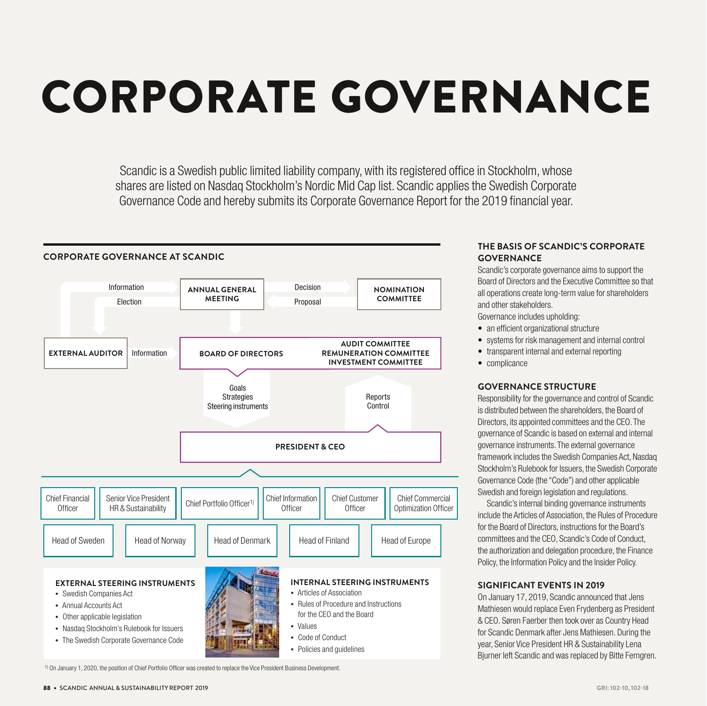# CORPORATE GOVERNANCE

Scandic is a Swedish public limited liability company, with its registered office in Stockholm, whose shares are listed on Nasdaq Stockholm's Nordic Mid Cap list. Scandic applies the Swedish Corporate Governance Code and hereby submits its Corporate Governance Report for the 2019 financial year.



# **THE BASIS OF SCANDIC'S CORPORATE GOVERNANCE**

Scandic's corporate governance aims to support the Board of Directors and the Executive Committee so that all operations create long-term value for shareholders and other stakeholders.

Governance includes upholding:

- an efficient organizational structure
- systems for risk management and internal control
- transparent internal and external reporting
- complicance

#### **GOVERNANCE STRUCTURE**

Responsibility for the governance and control of Scandic is distributed between the shareholders, the Board of Directors, its appointed committees and the CEO. The governance of Scandic is based on external and internal governance instruments. The external governance framework includes the Swedish Companies Act, Nasdaq Stockholm's Rulebook for Issuers, the Swedish Corporate Governance Code (the "Code") and other applicable Swedish and foreign legislation and regulations.

Scandic's internal binding governance instruments include the Articles of Association, the Rules of Procedure for the Board of Directors, instructions for the Board's committees and the CEO, Scandic's Code of Conduct, the authorization and delegation procedure, the Finance Policy, the Information Policy and the Insider Policy.

# **SIGNIFICANT EVENTS IN 2019**

On January 17, 2019, Scandic announced that Jens Mathiesen would replace Even Frydenberg as President & CEO. Søren Faerber then took over as Country Head for Scandic Denmark after Jens Mathiesen. During the year, Senior Vice President HR & Sustainability Lena Bjurner left Scandic and was replaced by Bitte Ferngren.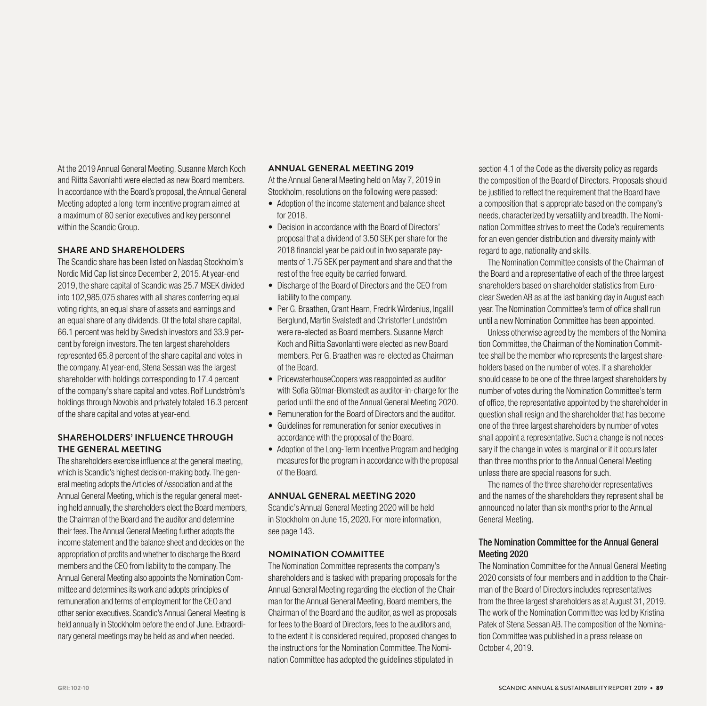At the 2019 Annual General Meeting, Susanne Mørch Koch and Riitta Savonlahti were elected as new Board members. In accordance with the Board's proposal, the Annual General Meeting adopted a long-term incentive program aimed at a maximum of 80 senior executives and key personnel within the Scandic Group.

#### **SHARE AND SHAREHOLDERS**

The Scandic share has been listed on Nasdaq Stockholm's Nordic Mid Cap list since December 2, 2015. At year-end 2019, the share capital of Scandic was 25.7 MSEK divided into 102,985,075 shares with all shares conferring equal voting rights, an equal share of assets and earnings and an equal share of any dividends. Of the total share capital, 66.1 percent was held by Swedish investors and 33.9 percent by foreign investors. The ten largest shareholders represented 65.8 percent of the share capital and votes in the company. At year-end, Stena Sessan was the largest shareholder with holdings corresponding to 17.4 percent of the company's share capital and votes. Rolf Lundström's holdings through Novobis and privately totaled 16.3 percent of the share capital and votes at year-end.

# **SHAREHOLDERS' INFLUENCE THROUGH THE GENERAL MEETING**

The shareholders exercise influence at the general meeting, which is Scandic's highest decision-making body. The general meeting adopts the Articles of Association and at the Annual General Meeting, which is the regular general meeting held annually, the shareholders elect the Board members, the Chairman of the Board and the auditor and determine their fees. The Annual General Meeting further adopts the income statement and the balance sheet and decides on the appropriation of profits and whether to discharge the Board members and the CEO from liability to the company. The Annual General Meeting also appoints the Nomination Committee and determines its work and adopts principles of remuneration and terms of employment for the CEO and other senior executives. Scandic's Annual General Meeting is held annually in Stockholm before the end of June. Extraordinary general meetings may be held as and when needed.

## **ANNUAL GENERAL MEETING 2019**

At the Annual General Meeting held on May 7, 2019 in Stockholm, resolutions on the following were passed:

- Adoption of the income statement and balance sheet for 2018.
- Decision in accordance with the Board of Directors' proposal that a dividend of 3.50 SEK per share for the 2018 financial year be paid out in two separate payments of 1.75 SEK per payment and share and that the rest of the free equity be carried forward.
- Discharge of the Board of Directors and the CEO from liability to the company.
- Per G. Braathen, Grant Hearn, Fredrik Wirdenius, Ingalill Berglund, Martin Svalstedt and Christoffer Lundström were re-elected as Board members. Susanne Mørch Koch and Riitta Savonlahti were elected as new Board members. Per G. Braathen was re-elected as Chairman of the Board.
- PricewaterhouseCoopers was reappointed as auditor with Sofia Götmar-Blomstedt as auditor-in-charge for the period until the end of the Annual General Meeting 2020.
- Remuneration for the Board of Directors and the auditor.
- Guidelines for remuneration for senior executives in accordance with the proposal of the Board.
- Adoption of the Long-Term Incentive Program and hedging measures for the program in accordance with the proposal of the Board.

#### **ANNUAL GENERAL MEETING 2020**

Scandic's Annual General Meeting 2020 will be held in Stockholm on June 15, 2020. For more information, see page 143.

#### **NOMINATION COMMITTEE**

The Nomination Committee represents the company's shareholders and is tasked with preparing proposals for the Annual General Meeting regarding the election of the Chairman for the Annual General Meeting, Board members, the Chairman of the Board and the auditor, as well as proposals for fees to the Board of Directors, fees to the auditors and, to the extent it is considered required, proposed changes to the instructions for the Nomination Committee. The Nomination Committee has adopted the guidelines stipulated in

section 4.1 of the Code as the diversity policy as regards the composition of the Board of Directors. Proposals should be justified to reflect the requirement that the Board have a composition that is appropriate based on the company's needs, characterized by versatility and breadth. The Nomination Committee strives to meet the Code's requirements for an even gender distribution and diversity mainly with regard to age, nationality and skills.

The Nomination Committee consists of the Chairman of the Board and a representative of each of the three largest shareholders based on shareholder statistics from Euroclear Sweden AB as at the last banking day in August each year. The Nomination Committee's term of office shall run until a new Nomination Committee has been appointed.

Unless otherwise agreed by the members of the Nomination Committee, the Chairman of the Nomination Committee shall be the member who represents the largest shareholders based on the number of votes. If a shareholder should cease to be one of the three largest shareholders by number of votes during the Nomination Committee's term of office, the representative appointed by the shareholder in question shall resign and the shareholder that has become one of the three largest shareholders by number of votes shall appoint a representative. Such a change is not necessary if the change in votes is marginal or if it occurs later than three months prior to the Annual General Meeting unless there are special reasons for such.

The names of the three shareholder representatives and the names of the shareholders they represent shall be announced no later than six months prior to the Annual General Meeting.

# The Nomination Committee for the Annual General Meeting 2020

The Nomination Committee for the Annual General Meeting 2020 consists of four members and in addition to the Chairman of the Board of Directors includes representatives from the three largest shareholders as at August 31, 2019. The work of the Nomination Committee was led by Kristina Patek of Stena Sessan AB. The composition of the Nomination Committee was published in a press release on October 4, 2019.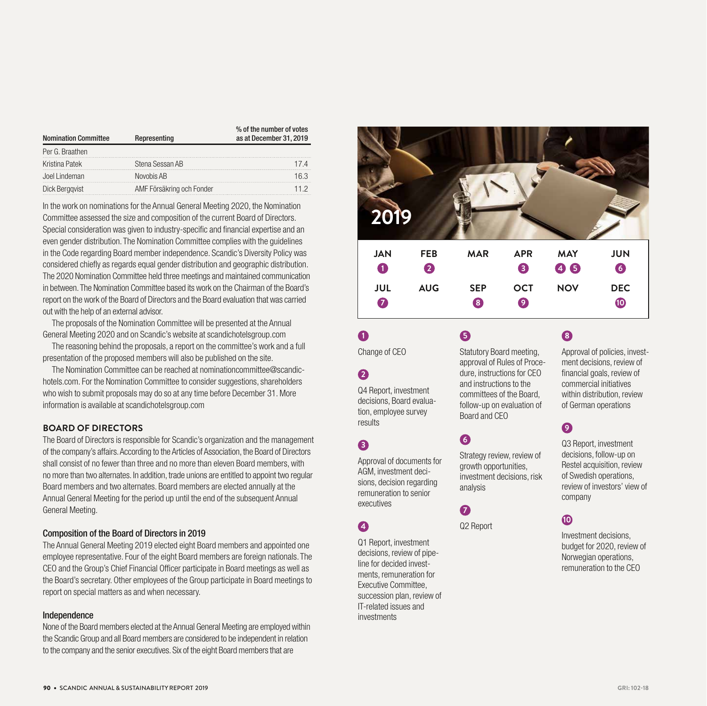| <b>Nomination Committee</b> | Representing              | % of the number of votes<br>as at December 31, 2019 |  |
|-----------------------------|---------------------------|-----------------------------------------------------|--|
| Per G. Braathen             |                           |                                                     |  |
| Kristina Patek              | Stena Sessan AB           | 174                                                 |  |
| Joel Lindeman               | Novobis AB                | 163                                                 |  |
| Dick Berggvist              | AMF Försäkring och Fonder | 11 2                                                |  |

In the work on nominations for the Annual General Meeting 2020, the Nomination Committee assessed the size and composition of the current Board of Directors. Special consideration was given to industry-specific and financial expertise and an even gender distribution. The Nomination Committee complies with the guidelines in the Code regarding Board member independence. Scandic's Diversity Policy was considered chiefly as regards equal gender distribution and geographic distribution. The 2020 Nomination Committee held three meetings and maintained communication in between. The Nomination Committee based its work on the Chairman of the Board's report on the work of the Board of Directors and the Board evaluation that was carried out with the help of an external advisor.

The proposals of the Nomination Committee will be presented at the Annual General Meeting 2020 and on Scandic's website at scandichotelsgroup.com

The reasoning behind the proposals, a report on the committee's work and a full presentation of the proposed members will also be published on the site.

The Nomination Committee can be reached at nominationcommittee@scandichotels.com. For the Nomination Committee to consider suggestions, shareholders who wish to submit proposals may do so at any time before December 31. More information is available at scandichotelsgroup.com

# **BOARD OF DIRECTORS**

The Board of Directors is responsible for Scandic's organization and the management of the company's affairs. According to the Articles of Association, the Board of Directors shall consist of no fewer than three and no more than eleven Board members, with no more than two alternates. In addition, trade unions are entitled to appoint two regular Board members and two alternates. Board members are elected annually at the Annual General Meeting for the period up until the end of the subsequent Annual General Meeting.

# Composition of the Board of Directors in 2019

The Annual General Meeting 2019 elected eight Board members and appointed one employee representative. Four of the eight Board members are foreign nationals. The CEO and the Group's Chief Financial Officer participate in Board meetings as well as the Board's secretary. Other employees of the Group participate in Board meetings to report on special matters as and when necessary.

## Independence

None of the Board members elected at the Annual General Meeting are employed within the Scandic Group and all Board members are considered to be independent in relation to the company and the senior executives. Six of the eight Board members that are



Change of CEO

# **2**

**1**

Q4 Report, investment decisions, Board evaluation, employee survey results

# **3**

Approval of documents for AGM, investment decisions, decision regarding remuneration to senior executives

# **4**

Q1 Report, investment decisions, review of pipeline for decided investments, remuneration for Executive Committee, succession plan, review of IT-related issues and investments

Statutory Board meeting, approval of Rules of Procedure, instructions for CEO and instructions to the committees of the Board, follow-up on evaluation of

# **6**

Board and CEO

**5**

Strategy review, review of growth opportunities, investment decisions, risk analysis

Q2 Report

**7**

# **8**

Approval of policies, investment decisions, review of financial goals, review of commercial initiatives within distribution, review of German operations

# **9**

Q3 Report, investment decisions, follow-up on Restel acquisition, review of Swedish operations, review of investors' view of company

# **10**

Investment decisions, budget for 2020, review of Norwegian operations, remuneration to the CEO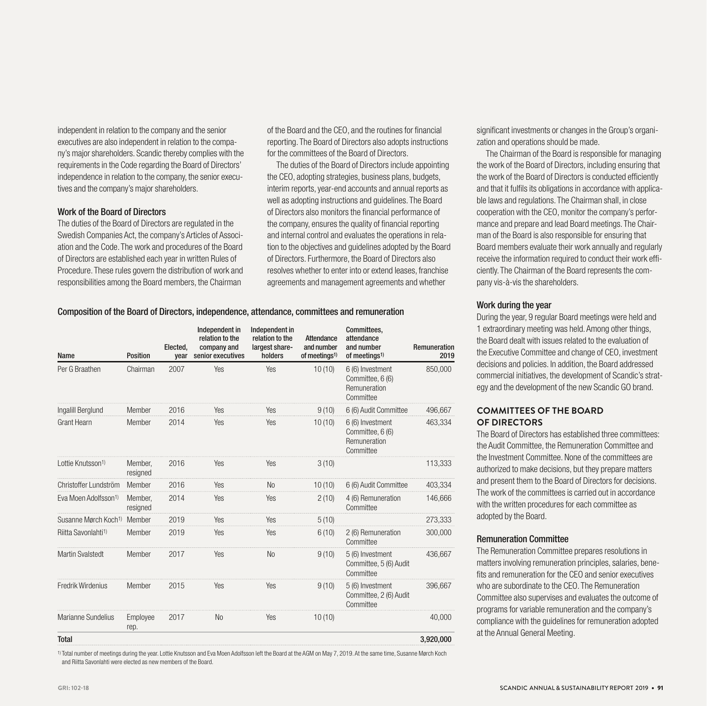independent in relation to the company and the senior executives are also independent in relation to the company's major shareholders. Scandic thereby complies with the requirements in the Code regarding the Board of Directors' independence in relation to the company, the senior executives and the company's major shareholders.

#### Work of the Board of Directors

The duties of the Board of Directors are regulated in the Swedish Companies Act, the company's Articles of Association and the Code. The work and procedures of the Board of Directors are established each year in written Rules of Procedure. These rules govern the distribution of work and responsibilities among the Board members, the Chairman

of the Board and the CEO, and the routines for financial reporting. The Board of Directors also adopts instructions for the committees of the Board of Directors.

The duties of the Board of Directors include appointing the CEO, adopting strategies, business plans, budgets, interim reports, year-end accounts and annual reports as well as adopting instructions and guidelines. The Board of Directors also monitors the financial performance of the company, ensures the quality of financial reporting and internal control and evaluates the operations in relation to the objectives and guidelines adopted by the Board of Directors. Furthermore, the Board of Directors also resolves whether to enter into or extend leases, franchise agreements and management agreements and whether

Composition of the Board of Directors, independence, attendance, committees and remuneration

| Name                             | <b>Position</b>     | Elected.<br>year | Independent in<br>relation to the<br>company and<br>senior executives | Independent in<br>relation to the<br>largest share-<br>holders | Attendance<br>and number<br>of meetings <sup>1)</sup> | Committees.<br>attendance<br>and number<br>of meetings <sup>1)</sup> | Remuneration<br>2019 |
|----------------------------------|---------------------|------------------|-----------------------------------------------------------------------|----------------------------------------------------------------|-------------------------------------------------------|----------------------------------------------------------------------|----------------------|
| Per G Braathen                   | Chairman            | 2007             | Yes                                                                   | Yes                                                            | 10(10)                                                | 6 (6) Investment<br>Committee, 6 (6)<br>Remuneration<br>Committee    | 850,000              |
| Ingalill Berglund                | Member              | 2016             | <b>Yes</b>                                                            | Yes                                                            | 9(10)                                                 | 6 (6) Audit Committee                                                | 496,667              |
| <b>Grant Hearn</b>               | Member              | 2014             | Yes                                                                   | Yes                                                            | 10(10)                                                | 6 (6) Investment<br>Committee, 6 (6)<br>Remuneration<br>Committee    | 463,334              |
| Lottie Knutsson <sup>1)</sup>    | Member,<br>resigned | 2016             | Yes                                                                   | Yes                                                            | 3(10)                                                 |                                                                      | 113,333              |
| Christoffer Lundström            | Member              | 2016             | Yes                                                                   | <b>No</b>                                                      | 10(10)                                                | 6 (6) Audit Committee                                                | 403,334              |
| Eva Moen Adolfsson <sup>1)</sup> | Member,<br>resigned | 2014             | Yes                                                                   | Yes                                                            | 2(10)                                                 | 4 (6) Remuneration<br>Committee                                      | 146,666              |
| Susanne Mørch Koch <sup>1)</sup> | Member              | 2019             | Yes                                                                   | Yes                                                            | 5(10)                                                 |                                                                      | 273,333              |
| Riitta Savonlahti <sup>1)</sup>  | Member              | 2019             | Yes                                                                   | Yes                                                            | 6(10)                                                 | 2 (6) Remuneration<br>Committee                                      | 300,000              |
| <b>Martin Svalstedt</b>          | Member              | 2017             | Yes                                                                   | N <sub>o</sub>                                                 | 9(10)                                                 | 5 (6) Investment<br>Committee, 5 (6) Audit<br>Committee              | 436.667              |
| Fredrik Wirdenius                | Member              | 2015             | Yes                                                                   | Yes                                                            | 9(10)                                                 | 5 (6) Investment<br>Committee, 2 (6) Audit<br>Committee              | 396,667              |
| Marianne Sundelius               | Employee<br>rep.    | 2017             | N <sub>o</sub>                                                        | Yes                                                            | 10(10)                                                |                                                                      | 40,000               |
| <b>Total</b>                     |                     |                  |                                                                       |                                                                |                                                       |                                                                      | 3,920,000            |

1) Total number of meetings during the year. Lottie Knutsson and Eva Moen Adolfsson left the Board at the AGM on May 7, 2019. At the same time, Susanne Mørch Koch and Riitta Savonlahti were elected as new members of the Board.

significant investments or changes in the Group's organization and operations should be made.

The Chairman of the Board is responsible for managing the work of the Board of Directors, including ensuring that the work of the Board of Directors is conducted efficiently and that it fulfils its obligations in accordance with applicable laws and regulations. The Chairman shall, in close cooperation with the CEO, monitor the company's performance and prepare and lead Board meetings. The Chairman of the Board is also responsible for ensuring that Board members evaluate their work annually and regularly receive the information required to conduct their work efficiently. The Chairman of the Board represents the company vis-à-vis the shareholders.

## Work during the year

During the year, 9 regular Board meetings were held and 1 extraordinary meeting was held. Among other things, the Board dealt with issues related to the evaluation of the Executive Committee and change of CEO, investment decisions and policies. In addition, the Board addressed commercial initiatives, the development of Scandic's strategy and the development of the new Scandic GO brand.

# **COMMITTEES OF THE BOARD OF DIRECTORS**

The Board of Directors has established three committees: the Audit Committee, the Remuneration Committee and the Investment Committee. None of the committees are authorized to make decisions, but they prepare matters and present them to the Board of Directors for decisions. The work of the committees is carried out in accordance with the written procedures for each committee as adopted by the Board.

#### Remuneration Committee

The Remuneration Committee prepares resolutions in matters involving remuneration principles, salaries, benefits and remuneration for the CEO and senior executives who are subordinate to the CEO. The Remuneration Committee also supervises and evaluates the outcome of programs for variable remuneration and the company's compliance with the guidelines for remuneration adopted at the Annual General Meeting.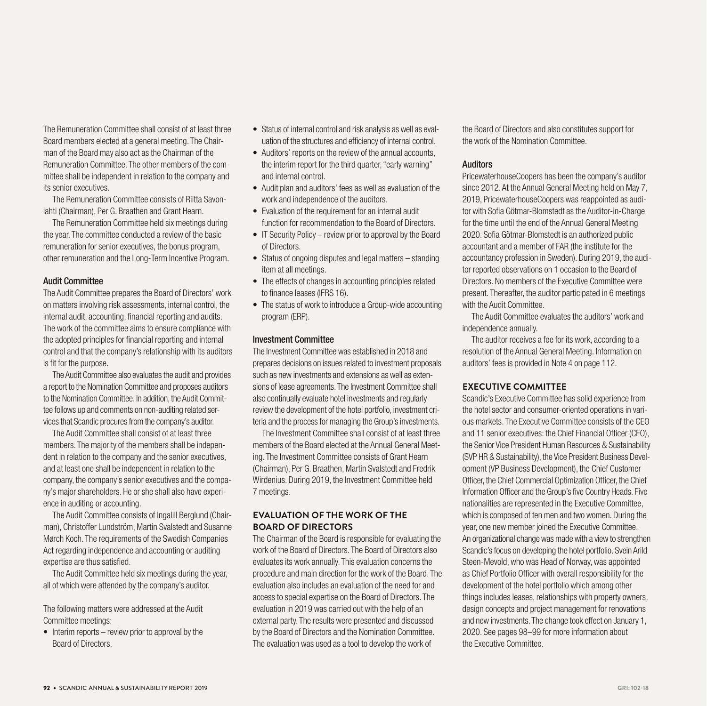The Remuneration Committee shall consist of at least three Board members elected at a general meeting. The Chairman of the Board may also act as the Chairman of the Remuneration Committee. The other members of the committee shall be independent in relation to the company and its senior executives.

The Remuneration Committee consists of Riitta Savonlahti (Chairman), Per G. Braathen and Grant Hearn.

The Remuneration Committee held six meetings during the year. The committee conducted a review of the basic remuneration for senior executives, the bonus program, other remuneration and the Long-Term Incentive Program.

#### Audit Committee

The Audit Committee prepares the Board of Directors' work on matters involving risk assessments, internal control, the internal audit, accounting, financial reporting and audits. The work of the committee aims to ensure compliance with the adopted principles for financial reporting and internal control and that the company's relationship with its auditors is fit for the purpose.

The Audit Committee also evaluates the audit and provides a report to the Nomination Committee and proposes auditors to the Nomination Committee. In addition, the Audit Committee follows up and comments on non-auditing related services that Scandic procures from the company's auditor.

The Audit Committee shall consist of at least three members. The majority of the members shall be independent in relation to the company and the senior executives, and at least one shall be independent in relation to the company, the company's senior executives and the company's major shareholders. He or she shall also have experience in auditing or accounting.

The Audit Committee consists of Ingalill Berglund (Chairman), Christoffer Lundström, Martin Svalstedt and Susanne Mørch Koch. The requirements of the Swedish Companies Act regarding independence and accounting or auditing expertise are thus satisfied.

The Audit Committee held six meetings during the year, all of which were attended by the company's auditor.

The following matters were addressed at the Audit Committee meetings:

• Interim reports – review prior to approval by the Board of Directors.

- Status of internal control and risk analysis as well as evaluation of the structures and efficiency of internal control.
- Auditors' reports on the review of the annual accounts, the interim report for the third quarter, "early warning" and internal control.
- Audit plan and auditors' fees as well as evaluation of the work and independence of the auditors.
- Evaluation of the requirement for an internal audit function for recommendation to the Board of Directors.
- IT Security Policy review prior to approval by the Board of Directors.
- Status of ongoing disputes and legal matters standing item at all meetings.
- The effects of changes in accounting principles related to finance leases (IFRS 16).
- The status of work to introduce a Group-wide accounting program (ERP).

#### Investment Committee

The Investment Committee was established in 2018 and prepares decisions on issues related to investment proposals such as new investments and extensions as well as extensions of lease agreements. The Investment Committee shall also continually evaluate hotel investments and regularly review the development of the hotel portfolio, investment criteria and the process for managing the Group's investments.

The Investment Committee shall consist of at least three members of the Board elected at the Annual General Meeting. The Investment Committee consists of Grant Hearn (Chairman), Per G. Braathen, Martin Svalstedt and Fredrik Wirdenius. During 2019, the Investment Committee held 7 meetings.

# **EVALUATION OF THE WORK OF THE BOARD OF DIRECTORS**

The Chairman of the Board is responsible for evaluating the work of the Board of Directors. The Board of Directors also evaluates its work annually. This evaluation concerns the procedure and main direction for the work of the Board. The evaluation also includes an evaluation of the need for and access to special expertise on the Board of Directors. The evaluation in 2019 was carried out with the help of an external party. The results were presented and discussed by the Board of Directors and the Nomination Committee. The evaluation was used as a tool to develop the work of

the Board of Directors and also constitutes support for the work of the Nomination Committee.

# Auditors

PricewaterhouseCoopers has been the company's auditor since 2012. At the Annual General Meeting held on May 7, 2019, PricewaterhouseCoopers was reappointed as auditor with Sofia Götmar-Blomstedt as the Auditor-in-Charge for the time until the end of the Annual General Meeting 2020. Sofia Götmar-Blomstedt is an authorized public accountant and a member of FAR (the institute for the accountancy profession in Sweden). During 2019, the auditor reported observations on 1 occasion to the Board of Directors. No members of the Executive Committee were present. Thereafter, the auditor participated in 6 meetings with the Audit Committee.

The Audit Committee evaluates the auditors' work and independence annually.

The auditor receives a fee for its work, according to a resolution of the Annual General Meeting. Information on auditors' fees is provided in Note 4 on page 112.

#### **EXECUTIVE COMMITTEE**

Scandic's Executive Committee has solid experience from the hotel sector and consumer-oriented operations in various markets. The Executive Committee consists of the CEO and 11 senior executives: the Chief Financial Officer (CFO), the Senior Vice President Human Resources & Sustainability (SVP HR & Sustainability), the Vice President Business Development (VP Business Development), the Chief Customer Officer, the Chief Commercial Optimization Officer, the Chief Information Officer and the Group's five Country Heads. Five nationalities are represented in the Executive Committee, which is composed of ten men and two women. During the year, one new member joined the Executive Committee. An organizational change was made with a view to strengthen Scandic's focus on developing the hotel portfolio. Svein Arild Steen-Mevold, who was Head of Norway, was appointed as Chief Portfolio Officer with overall responsibility for the development of the hotel portfolio which among other things includes leases, relationships with property owners, design concepts and project management for renovations and new investments. The change took effect on January 1, 2020. See pages 98–99 for more information about the Executive Committee.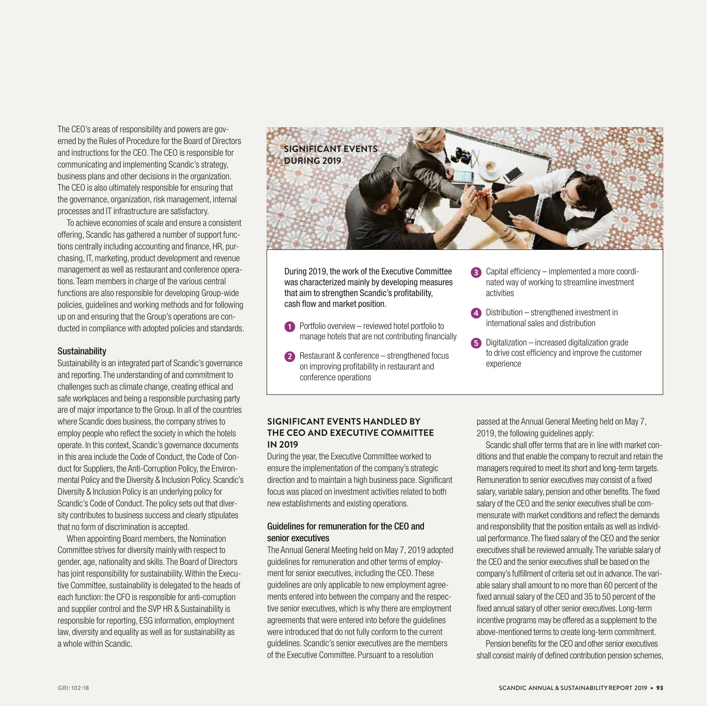The CEO's areas of responsibility and powers are governed by the Rules of Procedure for the Board of Directors and instructions for the CEO. The CEO is responsible for communicating and implementing Scandic's strategy, business plans and other decisions in the organization. The CEO is also ultimately responsible for ensuring that the governance, organization, risk management, internal processes and IT infrastructure are satisfactory.

To achieve economies of scale and ensure a consistent offering, Scandic has gathered a number of support functions centrally including accounting and finance, HR, purchasing, IT, marketing, product development and revenue management as well as restaurant and conference operations. Team members in charge of the various central functions are also responsible for developing Group-wide policies, guidelines and working methods and for following up on and ensuring that the Group's operations are conducted in compliance with adopted policies and standards.

#### **Sustainability**

Sustainability is an integrated part of Scandic's governance and reporting. The understanding of and commitment to challenges such as climate change, creating ethical and safe workplaces and being a responsible purchasing party are of major importance to the Group. In all of the countries where Scandic does business, the company strives to employ people who reflect the society in which the hotels operate. In this context, Scandic's governance documents in this area include the Code of Conduct, the Code of Conduct for Suppliers, the Anti-Corruption Policy, the Environmental Policy and the Diversity & Inclusion Policy. Scandic's Diversity & Inclusion Policy is an underlying policy for Scandic's Code of Conduct. The policy sets out that diversity contributes to business success and clearly stipulates that no form of discrimination is accepted.

When appointing Board members, the Nomination Committee strives for diversity mainly with respect to gender, age, nationality and skills. The Board of Directors has joint responsibility for sustainability. Within the Executive Committee, sustainability is delegated to the heads of each function: the CFO is responsible for anti-corruption and supplier control and the SVP HR & Sustainability is responsible for reporting, ESG information, employment law, diversity and equality as well as for sustainability as a whole within Scandic.



During 2019, the work of the Executive Committee was characterized mainly by developing measures that aim to strengthen Scandic's profitability, cash flow and market position.

- 1 Portfolio overview reviewed hotel portfolio to manage hotels that are not contributing financially
- **2** Restaurant & conference strengthened focus on improving profitability in restaurant and conference operations
- **3** Capital efficiency implemented a more coordinated way of working to streamline investment activities
- **4** Distribution strengthened investment in international sales and distribution
- **5** Digitalization increased digitalization grade to drive cost efficiency and improve the customer experience

# **SIGNIFICANT EVENTS HANDLED BY THE CEO AND EXECUTIVE COMMITTEE IN 2019**

During the year, the Executive Committee worked to ensure the implementation of the company's strategic direction and to maintain a high business pace. Significant focus was placed on investment activities related to both new establishments and existing operations.

# Guidelines for remuneration for the CEO and senior executives

The Annual General Meeting held on May 7, 2019 adopted guidelines for remuneration and other terms of employment for senior executives, including the CEO. These guidelines are only applicable to new employment agreements entered into between the company and the respective senior executives, which is why there are employment agreements that were entered into before the guidelines were introduced that do not fully conform to the current guidelines. Scandic's senior executives are the members of the Executive Committee. Pursuant to a resolution

passed at the Annual General Meeting held on May 7, 2019, the following guidelines apply:

Scandic shall offer terms that are in line with market conditions and that enable the company to recruit and retain the managers required to meet its short and long-term targets. Remuneration to senior executives may consist of a fixed salary, variable salary, pension and other benefits. The fixed salary of the CEO and the senior executives shall be commensurate with market conditions and reflect the demands and responsibility that the position entails as well as individual performance. The fixed salary of the CEO and the senior executives shall be reviewed annually. The variable salary of the CEO and the senior executives shall be based on the company's fulfillment of criteria set out in advance. The variable salary shall amount to no more than 60 percent of the fixed annual salary of the CEO and 35 to 50 percent of the fixed annual salary of other senior executives. Long-term incentive programs may be offered as a supplement to the above-mentioned terms to create long-term commitment.

Pension benefits for the CEO and other senior executives shall consist mainly of defined contribution pension schemes,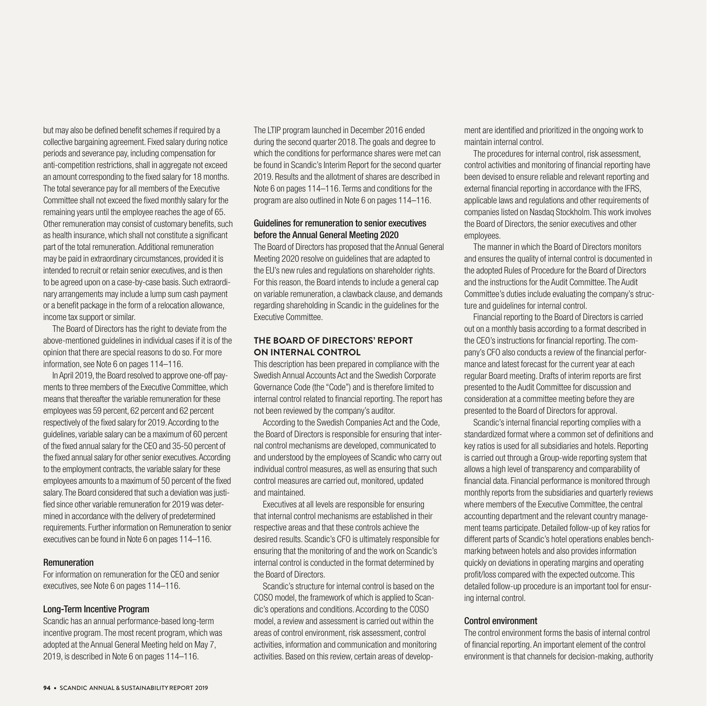but may also be defined benefit schemes if required by a collective bargaining agreement. Fixed salary during notice periods and severance pay, including compensation for anti-competition restrictions, shall in aggregate not exceed an amount corresponding to the fixed salary for 18 months. The total severance pay for all members of the Executive Committee shall not exceed the fixed monthly salary for the remaining years until the employee reaches the age of 65. Other remuneration may consist of customary benefits, such as health insurance, which shall not constitute a significant part of the total remuneration. Additional remuneration may be paid in extraordinary circumstances, provided it is intended to recruit or retain senior executives, and is then to be agreed upon on a case-by-case basis. Such extraordinary arrangements may include a lump sum cash payment or a benefit package in the form of a relocation allowance, income tax support or similar.

The Board of Directors has the right to deviate from the above-mentioned guidelines in individual cases if it is of the opinion that there are special reasons to do so. For more information, see Note 6 on pages 114–116.

In April 2019, the Board resolved to approve one-off payments to three members of the Executive Committee, which means that thereafter the variable remuneration for these employees was 59 percent, 62 percent and 62 percent respectively of the fixed salary for 2019. According to the guidelines, variable salary can be a maximum of 60 percent of the fixed annual salary for the CEO and 35-50 percent of the fixed annual salary for other senior executives. According to the employment contracts, the variable salary for these employees amounts to a maximum of 50 percent of the fixed salary. The Board considered that such a deviation was justified since other variable remuneration for 2019 was determined in accordance with the delivery of predetermined requirements. Further information on Remuneration to senior executives can be found in Note 6 on pages 114–116.

#### **Remuneration**

For information on remuneration for the CEO and senior executives, see Note 6 on pages 114–116.

#### Long-Term Incentive Program

Scandic has an annual performance-based long-term incentive program. The most recent program, which was adopted at the Annual General Meeting held on May 7, 2019, is described in Note 6 on pages 114–116.

The LTIP program launched in December 2016 ended during the second quarter 2018. The goals and degree to which the conditions for performance shares were met can be found in Scandic's Interim Report for the second quarter 2019. Results and the allotment of shares are described in Note 6 on pages 114–116. Terms and conditions for the program are also outlined in Note 6 on pages 114–116.

# Guidelines for remuneration to senior executives before the Annual General Meeting 2020

The Board of Directors has proposed that the Annual General Meeting 2020 resolve on guidelines that are adapted to the EU's new rules and regulations on shareholder rights. For this reason, the Board intends to include a general cap on variable remuneration, a clawback clause, and demands regarding shareholding in Scandic in the guidelines for the Executive Committee.

# **THE BOARD OF DIRECTORS' REPORT ON INTERNAL CONTROL**

This description has been prepared in compliance with the Swedish Annual Accounts Act and the Swedish Corporate Governance Code (the "Code") and is therefore limited to internal control related to financial reporting. The report has not been reviewed by the company's auditor.

According to the Swedish Companies Act and the Code, the Board of Directors is responsible for ensuring that internal control mechanisms are developed, communicated to and understood by the employees of Scandic who carry out individual control measures, as well as ensuring that such control measures are carried out, monitored, updated and maintained.

Executives at all levels are responsible for ensuring that internal control mechanisms are established in their respective areas and that these controls achieve the desired results. Scandic's CFO is ultimately responsible for ensuring that the monitoring of and the work on Scandic's internal control is conducted in the format determined by the Board of Directors.

Scandic's structure for internal control is based on the COSO model, the framework of which is applied to Scandic's operations and conditions. According to the COSO model, a review and assessment is carried out within the areas of control environment, risk assessment, control activities, information and communication and monitoring activities. Based on this review, certain areas of development are identified and prioritized in the ongoing work to maintain internal control.

The procedures for internal control, risk assessment, control activities and monitoring of financial reporting have been devised to ensure reliable and relevant reporting and external financial reporting in accordance with the IFRS, applicable laws and regulations and other requirements of companies listed on Nasdaq Stockholm. This work involves the Board of Directors, the senior executives and other employees.

The manner in which the Board of Directors monitors and ensures the quality of internal control is documented in the adopted Rules of Procedure for the Board of Directors and the instructions for the Audit Committee. The Audit Committee's duties include evaluating the company's structure and quidelines for internal control.

Financial reporting to the Board of Directors is carried out on a monthly basis according to a format described in the CEO's instructions for financial reporting. The company's CFO also conducts a review of the financial performance and latest forecast for the current year at each regular Board meeting. Drafts of interim reports are first presented to the Audit Committee for discussion and consideration at a committee meeting before they are presented to the Board of Directors for approval.

Scandic's internal financial reporting complies with a standardized format where a common set of definitions and key ratios is used for all subsidiaries and hotels. Reporting is carried out through a Group-wide reporting system that allows a high level of transparency and comparability of financial data. Financial performance is monitored through monthly reports from the subsidiaries and quarterly reviews where members of the Executive Committee, the central accounting department and the relevant country management teams participate. Detailed follow-up of key ratios for different parts of Scandic's hotel operations enables benchmarking between hotels and also provides information quickly on deviations in operating margins and operating profit/loss compared with the expected outcome. This detailed follow-up procedure is an important tool for ensuring internal control.

#### Control environment

The control environment forms the basis of internal control of financial reporting. An important element of the control environment is that channels for decision-making, authority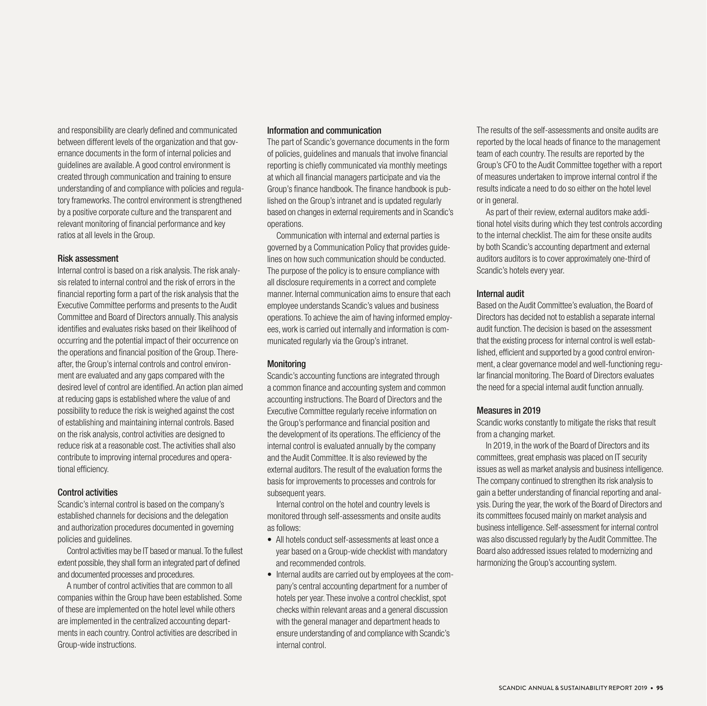and responsibility are clearly defined and communicated between different levels of the organization and that governance documents in the form of internal policies and guidelines are available. A good control environment is created through communication and training to ensure understanding of and compliance with policies and regulatory frameworks. The control environment is strengthened by a positive corporate culture and the transparent and relevant monitoring of financial performance and key ratios at all levels in the Group.

#### Risk assessment

Internal control is based on a risk analysis. The risk analysis related to internal control and the risk of errors in the financial reporting form a part of the risk analysis that the Executive Committee performs and presents to the Audit Committee and Board of Directors annually. This analysis identifies and evaluates risks based on their likelihood of occurring and the potential impact of their occurrence on the operations and financial position of the Group. Thereafter, the Group's internal controls and control environment are evaluated and any gaps compared with the desired level of control are identified. An action plan aimed at reducing gaps is established where the value of and possibility to reduce the risk is weighed against the cost of establishing and maintaining internal controls. Based on the risk analysis, control activities are designed to reduce risk at a reasonable cost. The activities shall also contribute to improving internal procedures and operational efficiency.

#### Control activities

Scandic's internal control is based on the company's established channels for decisions and the delegation and authorization procedures documented in governing policies and guidelines.

Control activities may be IT based or manual. To the fullest extent possible, they shall form an integrated part of defined and documented processes and procedures.

A number of control activities that are common to all companies within the Group have been established. Some of these are implemented on the hotel level while others are implemented in the centralized accounting departments in each country. Control activities are described in Group-wide instructions.

## Information and communication

The part of Scandic's governance documents in the form of policies, guidelines and manuals that involve financial reporting is chiefly communicated via monthly meetings at which all financial managers participate and via the Group's finance handbook. The finance handbook is published on the Group's intranet and is updated regularly based on changes in external requirements and in Scandic's operations.

Communication with internal and external parties is governed by a Communication Policy that provides guidelines on how such communication should be conducted. The purpose of the policy is to ensure compliance with all disclosure requirements in a correct and complete manner. Internal communication aims to ensure that each employee understands Scandic's values and business operations. To achieve the aim of having informed employees, work is carried out internally and information is communicated regularly via the Group's intranet.

# **Monitoring**

Scandic's accounting functions are integrated through a common finance and accounting system and common accounting instructions. The Board of Directors and the Executive Committee regularly receive information on the Group's performance and financial position and the development of its operations. The efficiency of the internal control is evaluated annually by the company and the Audit Committee. It is also reviewed by the external auditors. The result of the evaluation forms the basis for improvements to processes and controls for subsequent years.

Internal control on the hotel and country levels is monitored through self-assessments and onsite audits as follows:

- All hotels conduct self-assessments at least once a year based on a Group-wide checklist with mandatory and recommended controls.
- Internal audits are carried out by employees at the company's central accounting department for a number of hotels per year. These involve a control checklist, spot checks within relevant areas and a general discussion with the general manager and department heads to ensure understanding of and compliance with Scandic's internal control.

The results of the self-assessments and onsite audits are reported by the local heads of finance to the management team of each country. The results are reported by the Group's CFO to the Audit Committee together with a report of measures undertaken to improve internal control if the results indicate a need to do so either on the hotel level or in general.

As part of their review, external auditors make additional hotel visits during which they test controls according to the internal checklist. The aim for these onsite audits by both Scandic's accounting department and external auditors auditors is to cover approximately one-third of Scandic's hotels every year.

# Internal audit

Based on the Audit Committee's evaluation, the Board of Directors has decided not to establish a separate internal audit function. The decision is based on the assessment that the existing process for internal control is well established, efficient and supported by a good control environment, a clear governance model and well-functioning regular financial monitoring. The Board of Directors evaluates the need for a special internal audit function annually.

# Measures in 2019

Scandic works constantly to mitigate the risks that result from a changing market.

In 2019, in the work of the Board of Directors and its committees, great emphasis was placed on IT security issues as well as market analysis and business intelligence. The company continued to strengthen its risk analysis to gain a better understanding of financial reporting and analysis. During the year, the work of the Board of Directors and its committees focused mainly on market analysis and business intelligence. Self-assessment for internal control was also discussed regularly by the Audit Committee. The Board also addressed issues related to modernizing and harmonizing the Group's accounting system.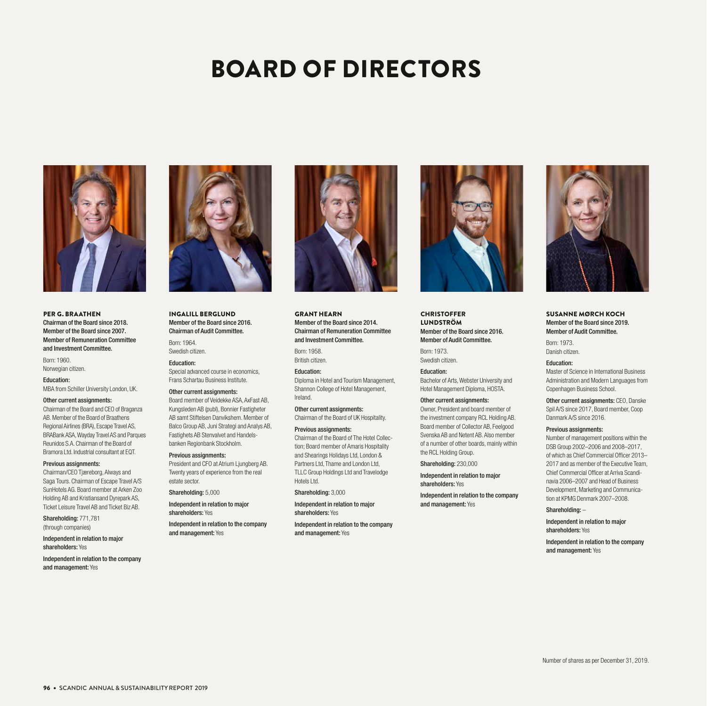# BOARD OF DIRECTORS



PER G. BRAATHEN Chairman of the Board since 2018. Member of the Board since 2007. Member of Remuneration Committee and Investment Committee.

Born: 1960. Norwegian citizen.

Education: MBA from Schiller University London, UK.

#### Other current assignments:

Chairman of the Board and CEO of Braganza AB. Member of the Board of Braathens Regional Airlines (BRA), Escape Travel AS, BRABank ASA, Wayday Travel AS and Parques Reunidos S.A. Chairman of the Board of Bramora Ltd. Industrial consultant at EQT.

#### Previous assignments:

Chairman/CEO Tjæreborg, Always and Saga Tours. Chairman of Escape Travel A/S SunHotels AG. Board member at Arken Zoo Holding AB and Kristiansand Dyrepark AS, Ticket Leisure Travel AB and Ticket Biz AB.

Shareholding: 771,781 (through companies)

Independent in relation to major shareholders: Yes

Independent in relation to the company and management: Yes



INGALILL BERGLUND Member of the Board since 2016. Chairman of Audit Committee.

Born: 1964. Swedish citizen.

Education: Special advanced course in economics, Frans Schartau Business Institute.

#### Other current assignments:

Board member of Veidekke ASA, AxFast AB, Kungsleden AB (publ), Bonnier Fastigheter AB samt Stiftelsen Danvikshem. Member of Balco Group AB, Juni Strategi and Analys AB, Fastighets AB Stenvalvet and Handelsbanken Regionbank Stockholm.

#### Previous assignments:

President and CFO at Atrium Ljungberg AB. Twenty years of experience from the real estate sector.

Shareholding: 5,000

Independent in relation to major shareholders: Yes

Independent in relation to the company and management: Yes



GRANT HEARN Member of the Board since 2014. Chairman of Remuneration Committee and Investment Committee.

Born: 1958. British citizen.

Education:

Diploma in Hotel and Tourism Management, Shannon College of Hotel Management, Ireland.

Other current assignments: Chairman of the Board of UK Hospitality.

#### Previous assignments:

Chairman of the Board of The Hotel Collection; Board member of Amaris Hospitality and Shearings Holidays Ltd, London & Partners Ltd, Thame and London Ltd, TLLC Group Holdings Ltd and Travelodge Hotels Ltd.

Shareholding: 3,000

Independent in relation to major shareholders: Yes

Independent in relation to the company and management: Yes



**CHRISTOFFER** LUNDSTRÖM Member of the Board since 2016. Member of Audit Committee.

Born: 1973. Swedish citizen.

Education: Bachelor of Arts, Webster University and Hotel Management Diploma, HOSTA.

#### Other current assignments:

Owner, President and board member of the investment company RCL Holding AB. Board member of Collector AB, Feelgood Svenska AB and Netent AB. Also member of a number of other boards, mainly within the RCL Holding Group.

Shareholding: 230,000

Independent in relation to major shareholders: Yes

Independent in relation to the company and management: Yes



Independent in relation to major shareholders: Yes

Independent in relation to the company and management: Yes

SUSANNE MØRCH KOCH Member of the Board since 2019. Member of Audit Committee.

Born: 1973. Danish citizen.

Education:

Master of Science in International Business Administration and Modern Languages from Copenhagen Business School.

Other current assignments: CEO, Danske Spil A/S since 2017, Board member, Coop Danmark A/S since 2016.

#### Previous assignments:

Number of management positions within the DSB Group 2002–2006 and 2008–2017, of which as Chief Commercial Officer 2013– 2017 and as member of the Executive Team, Chief Commercial Officer at Arriva Scandinavia 2006–2007 and Head of Business Development, Marketing and Communication at KPMG Denmark 2007–2008.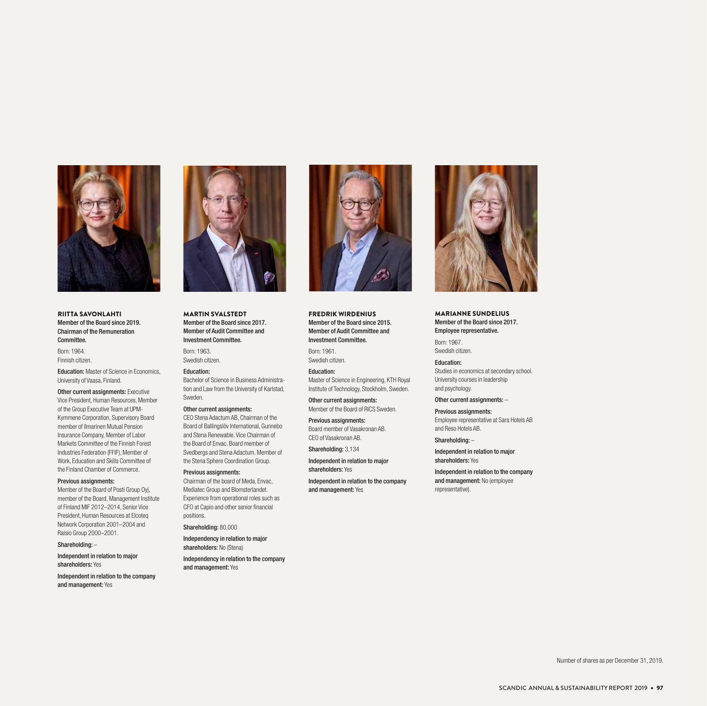

RIITTA SAVONLAHTI Member of the Board since 2019. Chairman of the Remuneration Committee.

Born: 1964. Finnish citizen.

Education: Master of Science in Economics, University of Vaasa, Finland.

**Other current assignments:** Executive Vice President, Human Resources, Member of the Group Executive Team at UPM-Kymmene Corporation, Supervisory Board member of Ilmarinen Mutual Pension Insurance Company, Member of Labor Markets Committee of the Finnish Forest Industries Federation (FFIF), Member of Work, Education and Skills Committee of the Finland Chamber of Commerce.

#### Previous assignments:

Member of the Board of Posti Group Oyj, member of the Board, Management Institute of Finland MIF 2012–2014, Senior Vice President, Human Resources at Elcoteq Network Corporation 2001–2004 and Raisio Group 2000–2001.

#### Shareholding: –

Independent in relation to major shareholders: Yes

Independent in relation to the company and management: Yes



MARTIN SVALSTEDT Member of the Board since 2017. Member of Audit Committee and Investment Committee.

Born: 1963. Swedish citizen.

#### Education:

Bachelor of Science in Business Administration and Law from the University of Karlstad, Sweden.

#### Other current assignments:

CEO Stena Adactum AB, Chairman of the Board of Ballingslöv International, Gunnebo and Stena Renewable. Vice Chairman of the Board of Envac. Board member of Svedbergs and Stena Adactum. Member of the Stena Sphere Coordination Group.

Previous assignments: Chairman of the board of Meda, Envac, Mediatec Group and Blomsterlandet. Experience from operational roles such as CFO at Capio and other senior financial positions.

Shareholding: 80,000

Independency in relation to major shareholders: No (Stena)

Independency in relation to the company and management: Yes



FREDRIK WIRDENIUS Member of the Board since 2015. Member of Audit Committee and Investment Committee.

Born: 1961. Swedish citizen.

Education: Master of Science in Engineering, KTH Royal Institute of Technology, Stockholm, Sweden.

Other current assignments: Member of the Board of RICS Sweden.

Previous assignments: Board member of Vasakronan AB. CEO of Vasakronan AB.

Shareholding: 3,134

Independent in relation to major shareholders: Yes

Independent in relation to the company and management: Yes



MARIANNE SUNDELIUS Member of the Board since 2017. Employee representative.

Born: 1967. Swedish citizen.

Education: Studies in economics at secondary school. University courses in leadership and psychology.

#### Other current assignments: –

Previous assignments: Employee representative at Sara Hotels AB and Reso Hotels AB.

Shareholding: –

Independent in relation to major shareholders: Yes

Independent in relation to the company and management: No (employee representative).

Number of shares as per December 31, 2019.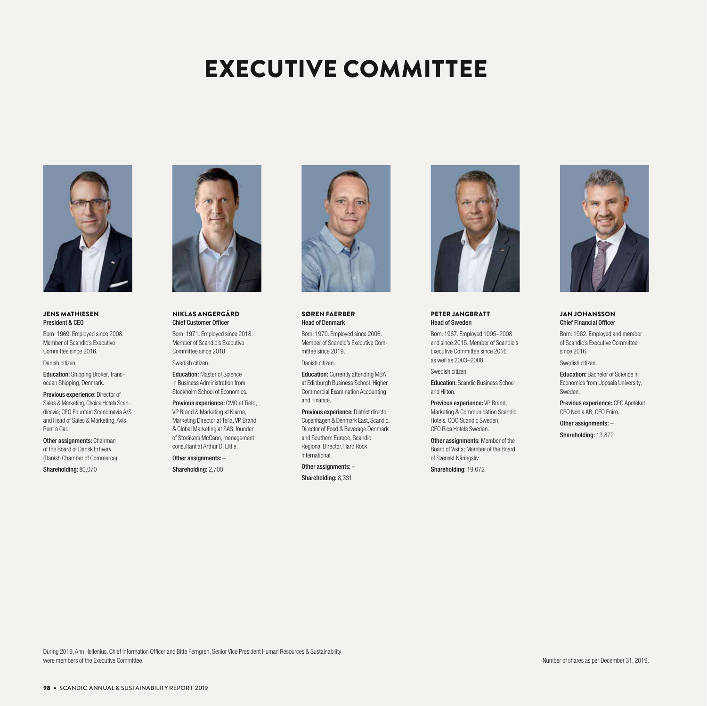# EXECUTIVE COMMITTEE



#### JENS MATHIESEN President & CEO

Born: 1969. Employed since 2008. Member of Scandic's Executive Committee since 2016.

Danish citizen.

Education: Shipping Broker, Transocean Shipping, Denmark.

Previous experience: Director of Sales & Marketing, Choice Hotels Scandinavia; CEO Fountain Scandinavia A/S and Head of Sales & Marketing, Avis Rent a Car.

**Other assignments: Chairman** of the Board of Dansk Erhverv (Danish Chamber of Commerce).

Shareholding: 80,070



#### NIKLAS ANGERGÅRD Chief Customer Officer

Born: 1971. Employed since 2018. Member of Scandic's Executive Committee since 2018.

Swedish citizen.

Education: Master of Science in Business Administration from Stockholm School of Economics.

Previous experience: CMO at Tieto, VP Brand & Marketing at Klarna, Marketing Director at Telia, VP Brand & Global Marketing at SAS, founder of Storåkers McCann, management consultant at Arthur D. Little.

Other assignments: –

Shareholding: 2,700



#### SØREN FAERBER Head of Denmark

Born: 1970. Employed since 2006. Member of Scandic's Executive Committee since 2019.

Danish citizen.

Education: Currently attending MBA at Edinburgh Business School. Higher Commercial Examination Accounting and Finance.

Previous experience: District director Copenhagen & Denmark East, Scandic. Director of Food & Beverage Denmark and Southern Europe, Scandic. Regional Director, Hard Rock International.

Other assignments: -

Shareholding: 8,331



PETER JANGBRATT Head of Sweden

Born: 1967. Employed 1995–2008 and since 2015. Member of Scandic's Executive Committee since 2016 as well as 2003–2008.

Swedish citizen.

Education: Scandic Business School and Hilton.

Previous experience: VP Brand, Marketing & Communication Scandic Hotels, COO Scandic Sweden, CEO Rica Hotels Sweden.

Other assignments: Member of the Board of Visita; Member of the Board of Svenskt Näringsliv.

Shareholding: 19,072



#### JAN JOHANSSON Chief Financial Officer

Born: 1962. Employed and member of Scandic's Executive Committee since 2016.

Swedish citizen.

Education: Bachelor of Science in Economics from Uppsala University, Sweden.

Previous experience: CFO Apoteket; CFO Nobia AB; CFO Eniro.

Other assignments: –

Shareholding: 13,872

During 2019, Ann Hellenius, Chief Information Officer and Bitte Ferngren, Senior Vice President Human Resources & Sustainability were members of the Executive Committee.